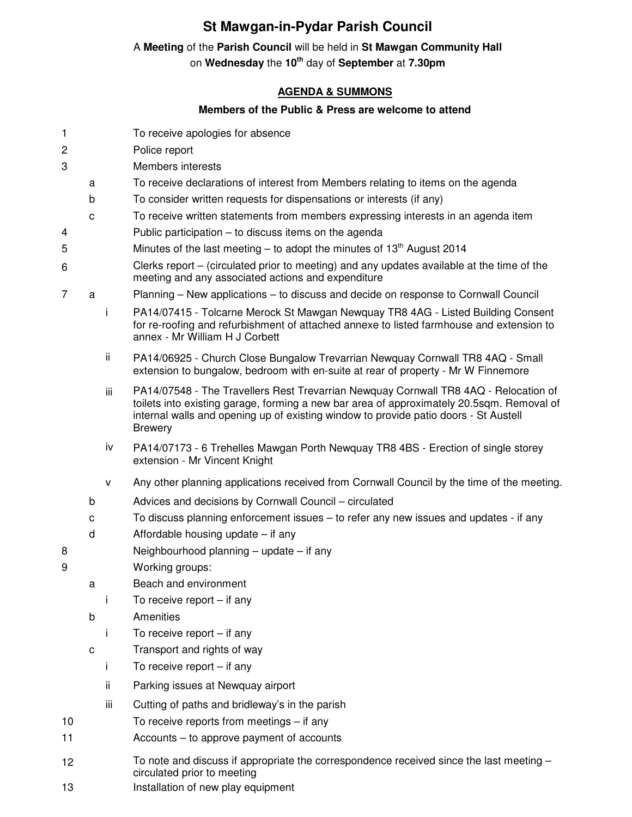# **St Mawgan-in-Pydar Parish Council**

### A **Meeting** of the **Parish Council** will be held in **St Mawgan Community Hall**

on **Wednesday** the **10th** day of **September** at **7.30pm** 

# **AGENDA & SUMMONS**

## **Members of the Public & Press are welcome to attend**

- 1 To receive apologies for absence
- 2 Police report
- 3 Members interests
	- a To receive declarations of interest from Members relating to items on the agenda
	- b To consider written requests for dispensations or interests (if any)
	- c To receive written statements from members expressing interests in an agenda item
- 4 Public participation to discuss items on the agenda
- 5 Minutes of the last meeting to adopt the minutes of  $13<sup>th</sup>$  August 2014
- 6 Clerks report – (circulated prior to meeting) and any updates available at the time of the meeting and any associated actions and expenditure
- 7 a Planning New applications to discuss and decide on response to Cornwall Council
	- i PA14/07415 Tolcarne Merock St Mawgan Newquay TR8 4AG Listed Building Consent for re-roofing and refurbishment of attached annexe to listed farmhouse and extension to annex - Mr William H J Corbett
	- ii PA14/06925 Church Close Bungalow Trevarrian Newquay Cornwall TR8 4AQ Small extension to bungalow, bedroom with en-suite at rear of property - Mr W Finnemore
	- iii PA14/07548 The Travellers Rest Trevarrian Newquay Cornwall TR8 4AQ Relocation of toilets into existing garage, forming a new bar area of approximately 20.5sqm. Removal of internal walls and opening up of existing window to provide patio doors - St Austell Brewery
	- iv PA14/07173 6 Trehelles Mawgan Porth Newquay TR8 4BS Erection of single storey extension - Mr Vincent Knight
	- v Any other planning applications received from Cornwall Council by the time of the meeting.
	- b Advices and decisions by Cornwall Council circulated
	- c To discuss planning enforcement issues to refer any new issues and updates if any
	- d Affordable housing update if any
- 8 Neighbourhood planning update if any
- 9 Working groups:
	- a Beach and environment
		- i To receive report if any
	- b Amenities
		- i To receive report if any
	- c Transport and rights of way
		- i To receive report if any
		- ii Parking issues at Newquay airport
	- iii Cutting of paths and bridleway's in the parish
- 10 To receive reports from meetings if any
- 11 Accounts to approve payment of accounts
- 12 To note and discuss if appropriate the correspondence received since the last meeting circulated prior to meeting
- 13 Installation of new play equipment